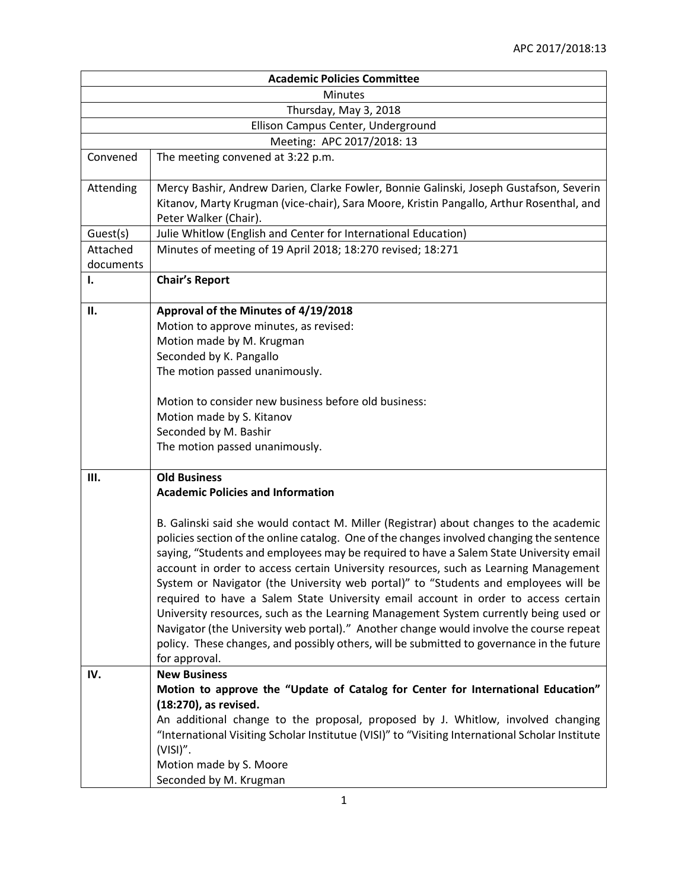| <b>Academic Policies Committee</b> |                                                                                                                                                                                                                                                                                                                                                                                                                                                                                                                                                                                                                                                                                                                                                                                                                                                    |  |
|------------------------------------|----------------------------------------------------------------------------------------------------------------------------------------------------------------------------------------------------------------------------------------------------------------------------------------------------------------------------------------------------------------------------------------------------------------------------------------------------------------------------------------------------------------------------------------------------------------------------------------------------------------------------------------------------------------------------------------------------------------------------------------------------------------------------------------------------------------------------------------------------|--|
| <b>Minutes</b>                     |                                                                                                                                                                                                                                                                                                                                                                                                                                                                                                                                                                                                                                                                                                                                                                                                                                                    |  |
| Thursday, May 3, 2018              |                                                                                                                                                                                                                                                                                                                                                                                                                                                                                                                                                                                                                                                                                                                                                                                                                                                    |  |
| Ellison Campus Center, Underground |                                                                                                                                                                                                                                                                                                                                                                                                                                                                                                                                                                                                                                                                                                                                                                                                                                                    |  |
|                                    | Meeting: APC 2017/2018: 13                                                                                                                                                                                                                                                                                                                                                                                                                                                                                                                                                                                                                                                                                                                                                                                                                         |  |
| Convened                           | The meeting convened at 3:22 p.m.                                                                                                                                                                                                                                                                                                                                                                                                                                                                                                                                                                                                                                                                                                                                                                                                                  |  |
| Attending                          | Mercy Bashir, Andrew Darien, Clarke Fowler, Bonnie Galinski, Joseph Gustafson, Severin<br>Kitanov, Marty Krugman (vice-chair), Sara Moore, Kristin Pangallo, Arthur Rosenthal, and<br>Peter Walker (Chair).                                                                                                                                                                                                                                                                                                                                                                                                                                                                                                                                                                                                                                        |  |
| Guest(s)                           | Julie Whitlow (English and Center for International Education)                                                                                                                                                                                                                                                                                                                                                                                                                                                                                                                                                                                                                                                                                                                                                                                     |  |
| Attached<br>documents              | Minutes of meeting of 19 April 2018; 18:270 revised; 18:271                                                                                                                                                                                                                                                                                                                                                                                                                                                                                                                                                                                                                                                                                                                                                                                        |  |
| Ι.                                 | <b>Chair's Report</b>                                                                                                                                                                                                                                                                                                                                                                                                                                                                                                                                                                                                                                                                                                                                                                                                                              |  |
| П.                                 | Approval of the Minutes of 4/19/2018                                                                                                                                                                                                                                                                                                                                                                                                                                                                                                                                                                                                                                                                                                                                                                                                               |  |
|                                    | Motion to approve minutes, as revised:                                                                                                                                                                                                                                                                                                                                                                                                                                                                                                                                                                                                                                                                                                                                                                                                             |  |
|                                    | Motion made by M. Krugman<br>Seconded by K. Pangallo                                                                                                                                                                                                                                                                                                                                                                                                                                                                                                                                                                                                                                                                                                                                                                                               |  |
|                                    | The motion passed unanimously.                                                                                                                                                                                                                                                                                                                                                                                                                                                                                                                                                                                                                                                                                                                                                                                                                     |  |
|                                    |                                                                                                                                                                                                                                                                                                                                                                                                                                                                                                                                                                                                                                                                                                                                                                                                                                                    |  |
|                                    | Motion to consider new business before old business:                                                                                                                                                                                                                                                                                                                                                                                                                                                                                                                                                                                                                                                                                                                                                                                               |  |
|                                    | Motion made by S. Kitanov                                                                                                                                                                                                                                                                                                                                                                                                                                                                                                                                                                                                                                                                                                                                                                                                                          |  |
|                                    | Seconded by M. Bashir                                                                                                                                                                                                                                                                                                                                                                                                                                                                                                                                                                                                                                                                                                                                                                                                                              |  |
|                                    | The motion passed unanimously.                                                                                                                                                                                                                                                                                                                                                                                                                                                                                                                                                                                                                                                                                                                                                                                                                     |  |
| Ш.                                 | <b>Old Business</b>                                                                                                                                                                                                                                                                                                                                                                                                                                                                                                                                                                                                                                                                                                                                                                                                                                |  |
|                                    | <b>Academic Policies and Information</b>                                                                                                                                                                                                                                                                                                                                                                                                                                                                                                                                                                                                                                                                                                                                                                                                           |  |
|                                    | B. Galinski said she would contact M. Miller (Registrar) about changes to the academic<br>policies section of the online catalog. One of the changes involved changing the sentence<br>saying, "Students and employees may be required to have a Salem State University email<br>account in order to access certain University resources, such as Learning Management<br>System or Navigator (the University web portal)" to "Students and employees will be<br>required to have a Salem State University email account in order to access certain<br>University resources, such as the Learning Management System currently being used or<br>Navigator (the University web portal)." Another change would involve the course repeat<br>policy. These changes, and possibly others, will be submitted to governance in the future<br>for approval. |  |
| IV.                                | <b>New Business</b>                                                                                                                                                                                                                                                                                                                                                                                                                                                                                                                                                                                                                                                                                                                                                                                                                                |  |
|                                    | Motion to approve the "Update of Catalog for Center for International Education"                                                                                                                                                                                                                                                                                                                                                                                                                                                                                                                                                                                                                                                                                                                                                                   |  |
|                                    | (18:270), as revised.<br>An additional change to the proposal, proposed by J. Whitlow, involved changing                                                                                                                                                                                                                                                                                                                                                                                                                                                                                                                                                                                                                                                                                                                                           |  |
|                                    | "International Visiting Scholar Institutue (VISI)" to "Visiting International Scholar Institute<br>$(VISI)''$ .                                                                                                                                                                                                                                                                                                                                                                                                                                                                                                                                                                                                                                                                                                                                    |  |
|                                    | Motion made by S. Moore                                                                                                                                                                                                                                                                                                                                                                                                                                                                                                                                                                                                                                                                                                                                                                                                                            |  |
|                                    | Seconded by M. Krugman                                                                                                                                                                                                                                                                                                                                                                                                                                                                                                                                                                                                                                                                                                                                                                                                                             |  |